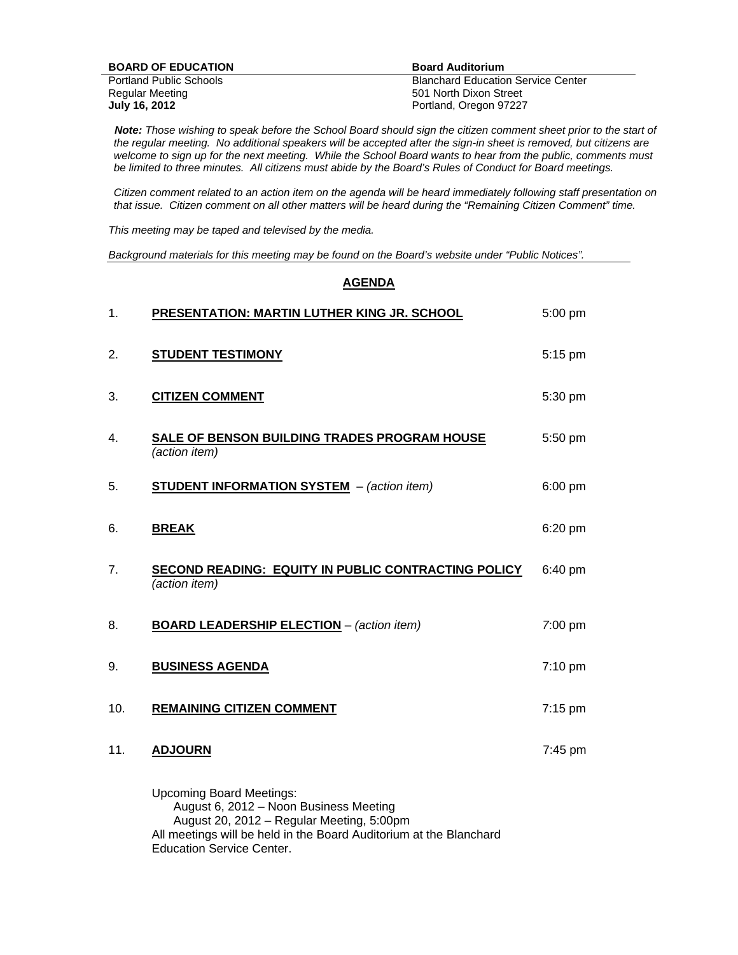| <b>BOARD OF EDUCATION</b>      | <b>Board Auditorium</b>                   |
|--------------------------------|-------------------------------------------|
| <b>Portland Public Schools</b> | <b>Blanchard Education Service Center</b> |
| Regular Meeting                | 501 North Dixon Street                    |
| July 16, 2012                  | Portland, Oregon 97227                    |

 *Note: Those wishing to speak before the School Board should sign the citizen comment sheet prior to the start of the regular meeting. No additional speakers will be accepted after the sign-in sheet is removed, but citizens are*  welcome to sign up for the next meeting. While the School Board wants to hear from the public, comments must *be limited to three minutes. All citizens must abide by the Board's Rules of Conduct for Board meetings.* 

 *Citizen comment related to an action item on the agenda will be heard immediately following staff presentation on that issue. Citizen comment on all other matters will be heard during the "Remaining Citizen Comment" time.* 

*This meeting may be taped and televised by the media.* 

*Background materials for this meeting may be found on the Board's website under "Public Notices".* 

## **AGENDA**

| 1.  | PRESENTATION: MARTIN LUTHER KING JR. SCHOOL                               | 5:00 pm |
|-----|---------------------------------------------------------------------------|---------|
| 2.  | <b>STUDENT TESTIMONY</b>                                                  | 5:15 pm |
| 3.  | <b>CITIZEN COMMENT</b>                                                    | 5:30 pm |
| 4.  | SALE OF BENSON BUILDING TRADES PROGRAM HOUSE<br>(action item)             | 5:50 pm |
| 5.  | <b>STUDENT INFORMATION SYSTEM</b> - (action item)                         | 6:00 pm |
| 6.  | <b>BREAK</b>                                                              | 6:20 pm |
| 7.  | SECOND READING: EQUITY IN PUBLIC CONTRACTING POLICY<br>(action item)      | 6:40 pm |
| 8.  | <b>BOARD LEADERSHIP ELECTION</b> - (action item)                          | 7:00 pm |
| 9.  | <b>BUSINESS AGENDA</b>                                                    | 7:10 pm |
| 10. | <b>REMAINING CITIZEN COMMENT</b>                                          | 7:15 pm |
| 11. | <b>ADJOURN</b>                                                            | 7:45 pm |
|     | <b>Upcoming Board Meetings:</b><br>August 6, 2012 - Noon Business Meeting |         |

August 20, 2012 – Regular Meeting, 5:00pm

Education Service Center.

All meetings will be held in the Board Auditorium at the Blanchard